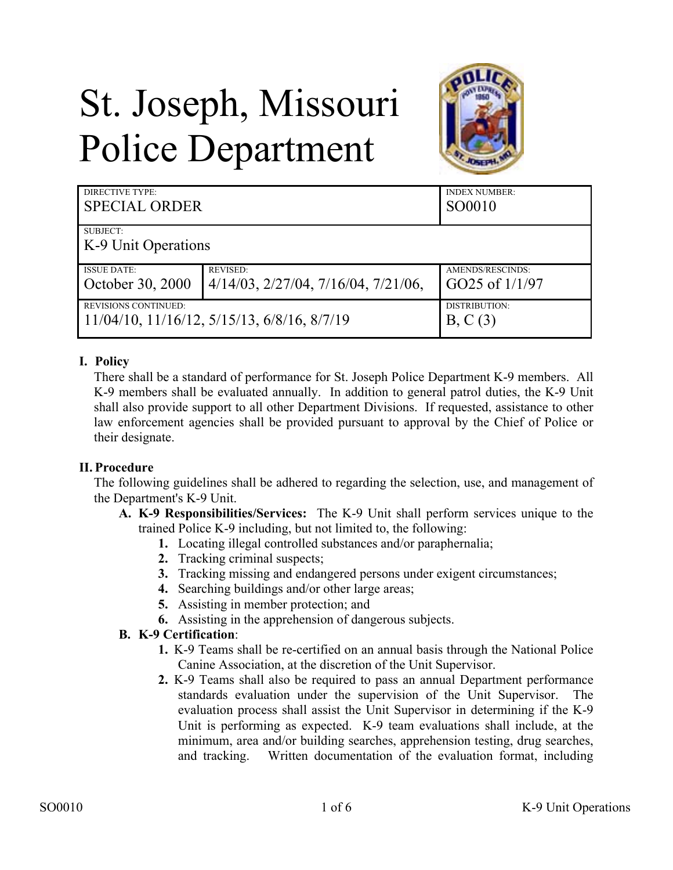# St. Joseph, Missouri Police Department



| DIRECTIVE TYPE:<br><b>SPECIAL ORDER</b>     |                                                 | <b>INDEX NUMBER:</b><br>SO0010 |
|---------------------------------------------|-------------------------------------------------|--------------------------------|
| SUBJECT:                                    |                                                 |                                |
| K-9 Unit Operations                         |                                                 |                                |
| <b>ISSUE DATE:</b>                          | <b>REVISED:</b>                                 | AMENDS/RESCINDS:               |
| October 30, 2000                            | $4/14/03$ , $2/27/04$ , $7/16/04$ , $7/21/06$ , | GO25 of 1/1/97                 |
| REVISIONS CONTINUED:                        |                                                 | DISTRIBUTION:                  |
| 11/04/10, 11/16/12, 5/15/13, 6/8/16, 8/7/19 |                                                 | B, C(3)                        |

## **I. Policy**

There shall be a standard of performance for St. Joseph Police Department K-9 members. All K-9 members shall be evaluated annually. In addition to general patrol duties, the K-9 Unit shall also provide support to all other Department Divisions. If requested, assistance to other law enforcement agencies shall be provided pursuant to approval by the Chief of Police or their designate.

#### **II. Procedure**

The following guidelines shall be adhered to regarding the selection, use, and management of the Department's K-9 Unit.

- **A. K-9 Responsibilities/Services:** The K-9 Unit shall perform services unique to the trained Police K-9 including, but not limited to, the following:
	- **1.** Locating illegal controlled substances and/or paraphernalia;
	- **2.** Tracking criminal suspects;
	- **3.** Tracking missing and endangered persons under exigent circumstances;
	- **4.** Searching buildings and/or other large areas;
	- **5.** Assisting in member protection; and
	- **6.** Assisting in the apprehension of dangerous subjects.

#### **B. K-9 Certification**:

- **1.** K-9 Teams shall be re-certified on an annual basis through the National Police Canine Association, at the discretion of the Unit Supervisor.
- **2.** K-9 Teams shall also be required to pass an annual Department performance standards evaluation under the supervision of the Unit Supervisor. The evaluation process shall assist the Unit Supervisor in determining if the K-9 Unit is performing as expected. K-9 team evaluations shall include, at the minimum, area and/or building searches, apprehension testing, drug searches, and tracking. Written documentation of the evaluation format, including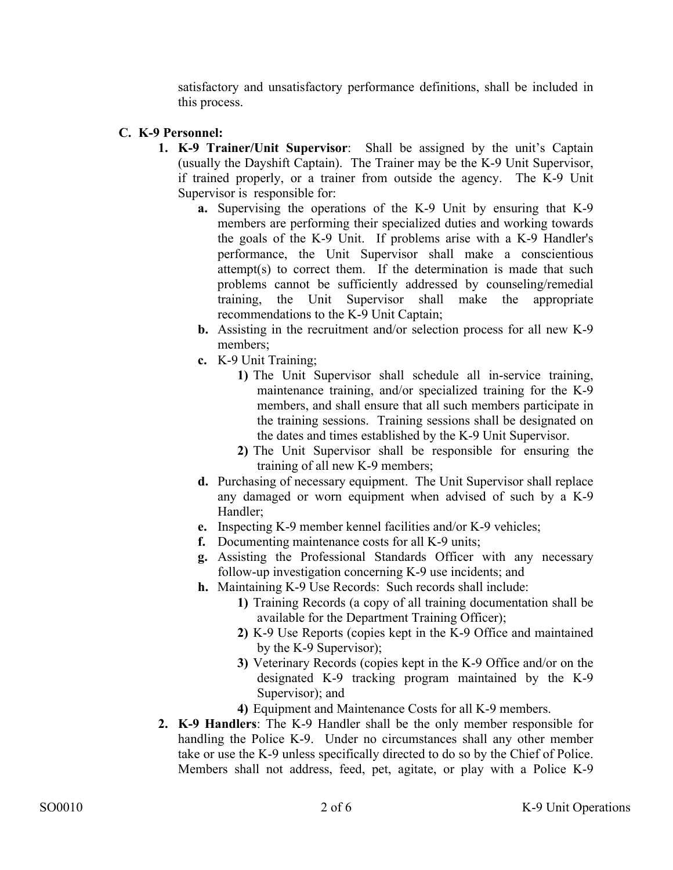satisfactory and unsatisfactory performance definitions, shall be included in this process.

#### **C. K-9 Personnel:**

- **1. K-9 Trainer/Unit Supervisor**: Shall be assigned by the unit's Captain (usually the Dayshift Captain). The Trainer may be the K-9 Unit Supervisor, if trained properly, or a trainer from outside the agency. The K-9 Unit Supervisor is responsible for:
	- **a.** Supervising the operations of the K-9 Unit by ensuring that K-9 members are performing their specialized duties and working towards the goals of the K-9 Unit. If problems arise with a K-9 Handler's performance, the Unit Supervisor shall make a conscientious attempt(s) to correct them. If the determination is made that such problems cannot be sufficiently addressed by counseling/remedial training, the Unit Supervisor shall make the appropriate recommendations to the K-9 Unit Captain;
	- **b.** Assisting in the recruitment and/or selection process for all new K-9 members;
	- **c.** K-9 Unit Training;
		- **1)** The Unit Supervisor shall schedule all in-service training, maintenance training, and/or specialized training for the K-9 members, and shall ensure that all such members participate in the training sessions. Training sessions shall be designated on the dates and times established by the K-9 Unit Supervisor.
		- **2)** The Unit Supervisor shall be responsible for ensuring the training of all new K-9 members;
	- **d.** Purchasing of necessary equipment. The Unit Supervisor shall replace any damaged or worn equipment when advised of such by a K-9 Handler;
	- **e.** Inspecting K-9 member kennel facilities and/or K-9 vehicles;
	- **f.** Documenting maintenance costs for all K-9 units;
	- **g.** Assisting the Professional Standards Officer with any necessary follow-up investigation concerning K-9 use incidents; and
	- **h.** Maintaining K-9 Use Records: Such records shall include:
		- **1)** Training Records (a copy of all training documentation shall be available for the Department Training Officer);
		- **2)** K-9 Use Reports (copies kept in the K-9 Office and maintained by the K-9 Supervisor);
		- **3)** Veterinary Records (copies kept in the K-9 Office and/or on the designated K-9 tracking program maintained by the K-9 Supervisor); and
		- **4)** Equipment and Maintenance Costs for all K-9 members.
- **2. K-9 Handlers**: The K-9 Handler shall be the only member responsible for handling the Police K-9. Under no circumstances shall any other member take or use the K-9 unless specifically directed to do so by the Chief of Police. Members shall not address, feed, pet, agitate, or play with a Police K-9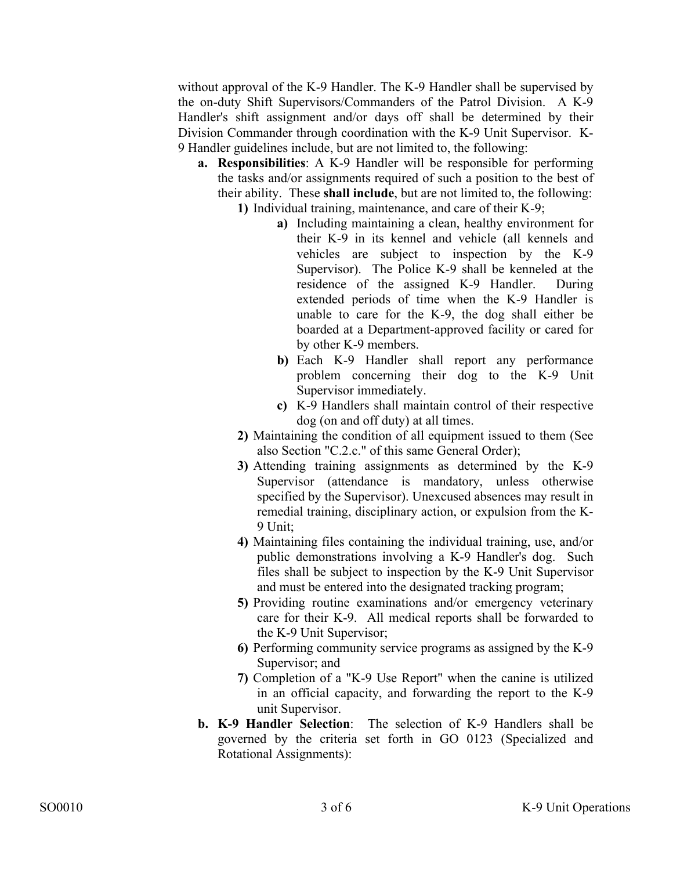without approval of the K-9 Handler. The K-9 Handler shall be supervised by the on-duty Shift Supervisors/Commanders of the Patrol Division. A K-9 Handler's shift assignment and/or days off shall be determined by their Division Commander through coordination with the K-9 Unit Supervisor. K-9 Handler guidelines include, but are not limited to, the following:

- **a. Responsibilities**: A K-9 Handler will be responsible for performing the tasks and/or assignments required of such a position to the best of their ability. These **shall include**, but are not limited to, the following: **1)** Individual training, maintenance, and care of their K-9;
	- **a)** Including maintaining a clean, healthy environment for their K-9 in its kennel and vehicle (all kennels and vehicles are subject to inspection by the K-9 Supervisor). The Police K-9 shall be kenneled at the residence of the assigned K-9 Handler. During extended periods of time when the K-9 Handler is unable to care for the K-9, the dog shall either be boarded at a Department-approved facility or cared for by other K-9 members.
	- **b)** Each K-9 Handler shall report any performance problem concerning their dog to the K-9 Unit Supervisor immediately.
	- **c)** K-9 Handlers shall maintain control of their respective dog (on and off duty) at all times.
	- **2)** Maintaining the condition of all equipment issued to them (See also Section "C.2.c." of this same General Order);
	- **3)** Attending training assignments as determined by the K-9 Supervisor (attendance is mandatory, unless otherwise specified by the Supervisor). Unexcused absences may result in remedial training, disciplinary action, or expulsion from the K-9 Unit;
	- **4)** Maintaining files containing the individual training, use, and/or public demonstrations involving a K-9 Handler's dog. Such files shall be subject to inspection by the K-9 Unit Supervisor and must be entered into the designated tracking program;
	- **5)** Providing routine examinations and/or emergency veterinary care for their K-9. All medical reports shall be forwarded to the K-9 Unit Supervisor;
	- **6)** Performing community service programs as assigned by the K-9 Supervisor; and
	- **7)** Completion of a "K-9 Use Report" when the canine is utilized in an official capacity, and forwarding the report to the K-9 unit Supervisor.
- **b. K-9 Handler Selection**: The selection of K-9 Handlers shall be governed by the criteria set forth in GO 0123 (Specialized and Rotational Assignments):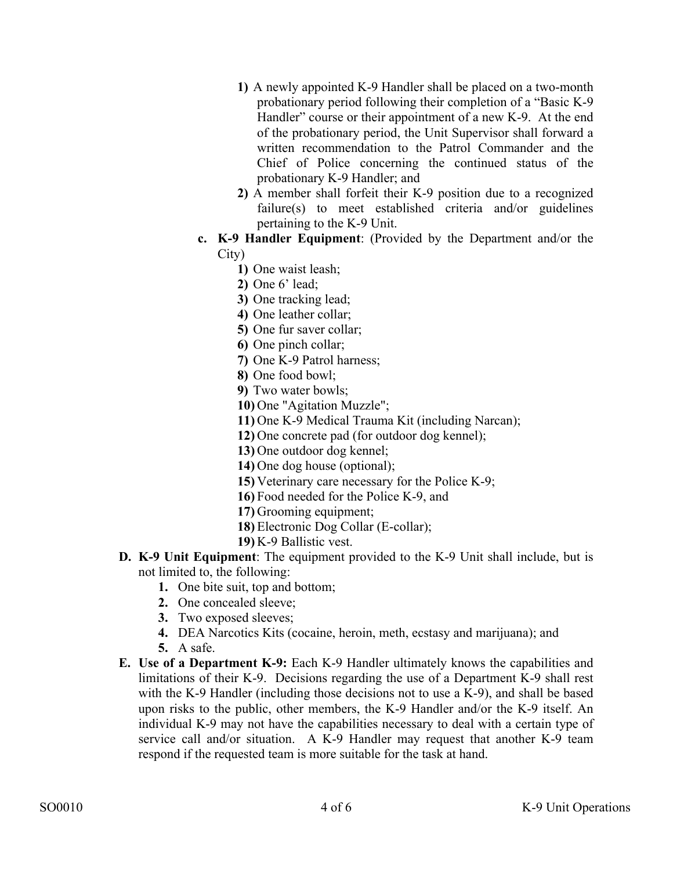- **1)** A newly appointed K-9 Handler shall be placed on a two-month probationary period following their completion of a "Basic K-9 Handler" course or their appointment of a new K-9. At the end of the probationary period, the Unit Supervisor shall forward a written recommendation to the Patrol Commander and the Chief of Police concerning the continued status of the probationary K-9 Handler; and
- **2)** A member shall forfeit their K-9 position due to a recognized failure(s) to meet established criteria and/or guidelines pertaining to the K-9 Unit.
- **c. K-9 Handler Equipment**: (Provided by the Department and/or the City)
	- **1)** One waist leash;
	- **2)** One 6' lead;
	- **3)** One tracking lead;
	- **4)** One leather collar;
	- **5)** One fur saver collar;
	- **6)** One pinch collar;
	- **7)** One K-9 Patrol harness;
	- **8)** One food bowl;
	- **9)** Two water bowls;
	- **10)** One "Agitation Muzzle";
	- **11)** One K-9 Medical Trauma Kit (including Narcan);
	- **12)** One concrete pad (for outdoor dog kennel);
	- **13)** One outdoor dog kennel;
	- **14)** One dog house (optional);
	- **15)** Veterinary care necessary for the Police K-9;
	- **16)** Food needed for the Police K-9, and
	- **17)** Grooming equipment;
	- **18)** Electronic Dog Collar (E-collar);
	- **19)** K-9 Ballistic vest.
- **D. K-9 Unit Equipment**: The equipment provided to the K-9 Unit shall include, but is not limited to, the following:
	- **1.** One bite suit, top and bottom;
	- **2.** One concealed sleeve;
	- **3.** Two exposed sleeves;
	- **4.** DEA Narcotics Kits (cocaine, heroin, meth, ecstasy and marijuana); and
	- **5.** A safe.
- **E. Use of a Department K-9:** Each K-9 Handler ultimately knows the capabilities and limitations of their K-9. Decisions regarding the use of a Department K-9 shall rest with the K-9 Handler (including those decisions not to use a K-9), and shall be based upon risks to the public, other members, the K-9 Handler and/or the K-9 itself. An individual K-9 may not have the capabilities necessary to deal with a certain type of service call and/or situation. A K-9 Handler may request that another K-9 team respond if the requested team is more suitable for the task at hand.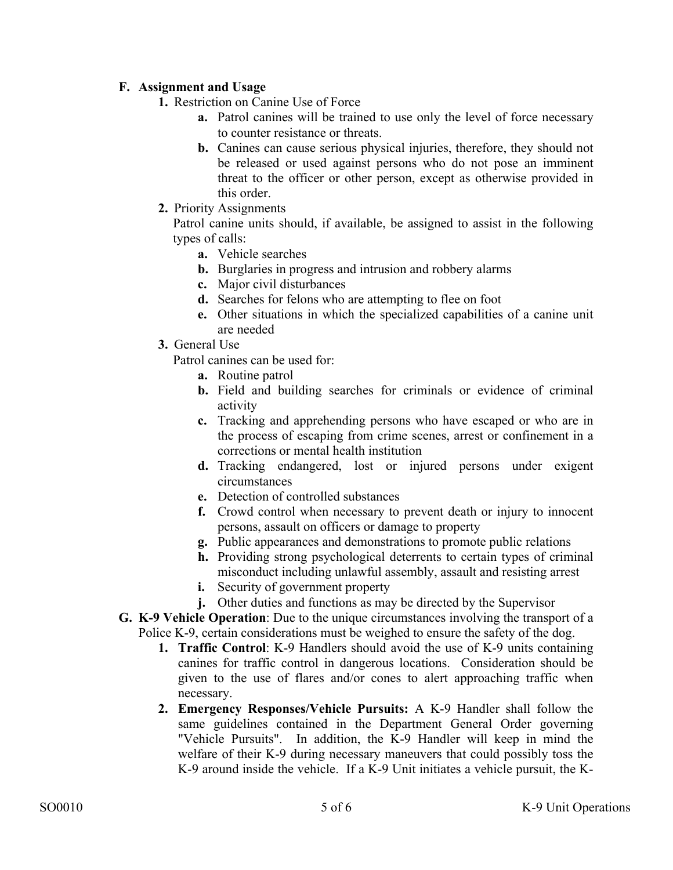### **F. Assignment and Usage**

- **1.** Restriction on Canine Use of Force
	- **a.** Patrol canines will be trained to use only the level of force necessary to counter resistance or threats.
	- **b.** Canines can cause serious physical injuries, therefore, they should not be released or used against persons who do not pose an imminent threat to the officer or other person, except as otherwise provided in this order.
- **2.** Priority Assignments

Patrol canine units should, if available, be assigned to assist in the following types of calls:

- **a.** Vehicle searches
- **b.** Burglaries in progress and intrusion and robbery alarms
- **c.** Major civil disturbances
- **d.** Searches for felons who are attempting to flee on foot
- **e.** Other situations in which the specialized capabilities of a canine unit are needed
- **3.** General Use
	- Patrol canines can be used for:
		- **a.** Routine patrol
		- **b.** Field and building searches for criminals or evidence of criminal activity
		- **c.** Tracking and apprehending persons who have escaped or who are in the process of escaping from crime scenes, arrest or confinement in a corrections or mental health institution
		- **d.** Tracking endangered, lost or injured persons under exigent circumstances
		- **e.** Detection of controlled substances
		- **f.** Crowd control when necessary to prevent death or injury to innocent persons, assault on officers or damage to property
		- **g.** Public appearances and demonstrations to promote public relations
		- **h.** Providing strong psychological deterrents to certain types of criminal misconduct including unlawful assembly, assault and resisting arrest
		- **i.** Security of government property
		- **j.** Other duties and functions as may be directed by the Supervisor
- **G. K-9 Vehicle Operation**: Due to the unique circumstances involving the transport of a Police K-9, certain considerations must be weighed to ensure the safety of the dog.
	- **1. Traffic Control**: K-9 Handlers should avoid the use of K-9 units containing canines for traffic control in dangerous locations. Consideration should be given to the use of flares and/or cones to alert approaching traffic when necessary.
	- **2. Emergency Responses/Vehicle Pursuits:** A K-9 Handler shall follow the same guidelines contained in the Department General Order governing "Vehicle Pursuits". In addition, the K-9 Handler will keep in mind the welfare of their K-9 during necessary maneuvers that could possibly toss the K-9 around inside the vehicle. If a K-9 Unit initiates a vehicle pursuit, the K-